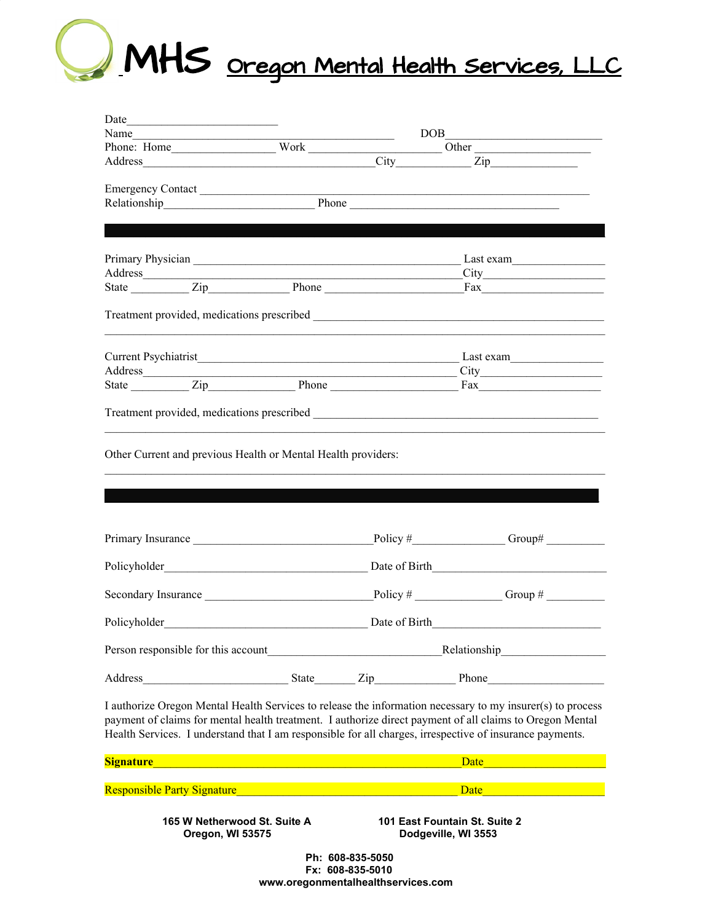

| Date                                                               |                                                  |                                                                                                                      |                                                                                                                                                                                                                                                                                                                                    |
|--------------------------------------------------------------------|--------------------------------------------------|----------------------------------------------------------------------------------------------------------------------|------------------------------------------------------------------------------------------------------------------------------------------------------------------------------------------------------------------------------------------------------------------------------------------------------------------------------------|
| Name                                                               |                                                  |                                                                                                                      | DOB                                                                                                                                                                                                                                                                                                                                |
|                                                                    |                                                  |                                                                                                                      | Other                                                                                                                                                                                                                                                                                                                              |
|                                                                    |                                                  |                                                                                                                      | Address City City Zip                                                                                                                                                                                                                                                                                                              |
| Emergency Contact                                                  |                                                  |                                                                                                                      |                                                                                                                                                                                                                                                                                                                                    |
|                                                                    |                                                  |                                                                                                                      | Relationship Phone Phone Phone Phone Phone Phone Phone Phone Phone Phone Phone Phone Phone Phone Phone Phone Phone Phone Phone Phone Phone Phone Phone Phone Phone Phone Phone Phone Phone Phone Phone Phone Phone Phone Phone                                                                                                     |
|                                                                    |                                                  |                                                                                                                      |                                                                                                                                                                                                                                                                                                                                    |
|                                                                    |                                                  |                                                                                                                      |                                                                                                                                                                                                                                                                                                                                    |
|                                                                    |                                                  |                                                                                                                      |                                                                                                                                                                                                                                                                                                                                    |
| Address                                                            |                                                  | <u> 1989 - Johann John Stone, mars eta bainar eta baina eta baina eta baina eta baina eta baina eta baina eta ba</u> |                                                                                                                                                                                                                                                                                                                                    |
|                                                                    |                                                  | State <u>Ciperrane Ciperra Phone</u> Phone                                                                           |                                                                                                                                                                                                                                                                                                                                    |
|                                                                    |                                                  |                                                                                                                      |                                                                                                                                                                                                                                                                                                                                    |
|                                                                    |                                                  |                                                                                                                      |                                                                                                                                                                                                                                                                                                                                    |
|                                                                    |                                                  | <u> 1989 - Johann John Stone, mars eta bainar eta mondo eta errestan erromana eta erresta erresta eta erresta er</u> |                                                                                                                                                                                                                                                                                                                                    |
|                                                                    |                                                  | State <u>Zip Phone</u>                                                                                               |                                                                                                                                                                                                                                                                                                                                    |
|                                                                    |                                                  |                                                                                                                      |                                                                                                                                                                                                                                                                                                                                    |
| Primary Insurance                                                  |                                                  |                                                                                                                      | Policy $\#$ Group#                                                                                                                                                                                                                                                                                                                 |
|                                                                    |                                                  |                                                                                                                      |                                                                                                                                                                                                                                                                                                                                    |
|                                                                    |                                                  |                                                                                                                      | Secondary Insurance $\qquad \qquad$ Policy # $\qquad \qquad$ Group #                                                                                                                                                                                                                                                               |
| Policyholder                                                       |                                                  | Date of Birth                                                                                                        | <u> 1980 - Jan Barbara, martin da kasar Amerika Indonesia.</u>                                                                                                                                                                                                                                                                     |
|                                                                    |                                                  |                                                                                                                      | Person responsible for this account<br><b>Example 2018</b> Relationship                                                                                                                                                                                                                                                            |
| Address                                                            |                                                  |                                                                                                                      | State Zip Phone                                                                                                                                                                                                                                                                                                                    |
|                                                                    |                                                  |                                                                                                                      | I authorize Oregon Mental Health Services to release the information necessary to my insurer(s) to process<br>payment of claims for mental health treatment. I authorize direct payment of all claims to Oregon Mental<br>Health Services. I understand that I am responsible for all charges, irrespective of insurance payments. |
| Signature <b>Signature Signature Signature</b>                     |                                                  |                                                                                                                      | Date                                                                                                                                                                                                                                                                                                                               |
| Responsible Party Signature Manuel Alexander Contractor Contractor |                                                  |                                                                                                                      | Date                                                                                                                                                                                                                                                                                                                               |
|                                                                    | 165 W Netherwood St. Suite A<br>Oregon, WI 53575 |                                                                                                                      | 101 East Fountain St. Suite 2<br>Dodgeville, WI 3553                                                                                                                                                                                                                                                                               |

 **Ph: 608-835-5050 Fx: 608-835-5010 www.oregonmentalhealthservices.com**